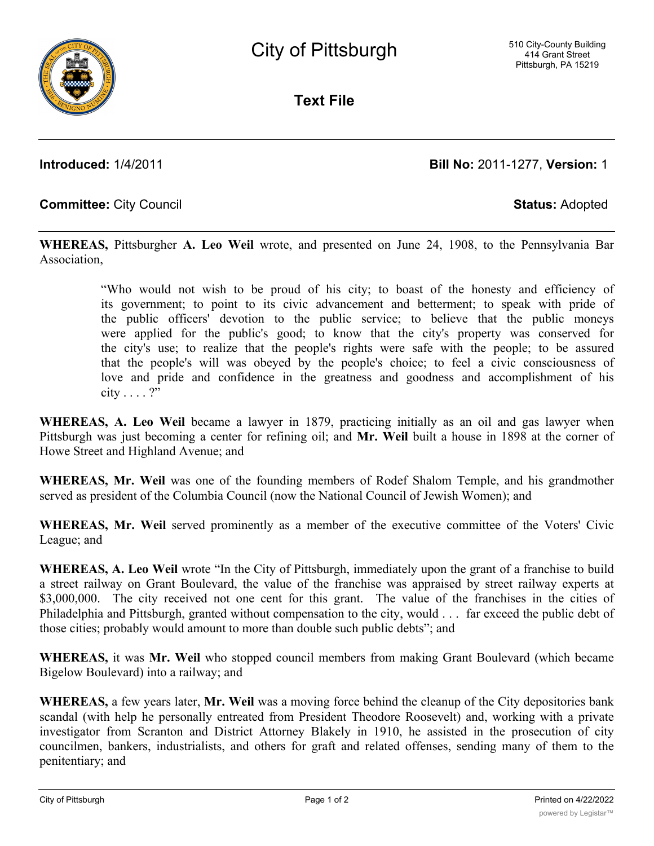**Text File**

**Introduced:** 1/4/2011 **Bill No:** 2011-1277, **Version:** 1

## **Committee:** City Council **Status:** Adopted

**WHEREAS,** Pittsburgher **A. Leo Weil** wrote, and presented on June 24, 1908, to the Pennsylvania Bar Association,

> "Who would not wish to be proud of his city; to boast of the honesty and efficiency of its government; to point to its civic advancement and betterment; to speak with pride of the public officers' devotion to the public service; to believe that the public moneys were applied for the public's good; to know that the city's property was conserved for the city's use; to realize that the people's rights were safe with the people; to be assured that the people's will was obeyed by the people's choice; to feel a civic consciousness of love and pride and confidence in the greatness and goodness and accomplishment of his city . . . . ?"

**WHEREAS, A. Leo Weil** became a lawyer in 1879, practicing initially as an oil and gas lawyer when Pittsburgh was just becoming a center for refining oil; and **Mr. Weil** built a house in 1898 at the corner of Howe Street and Highland Avenue; and

**WHEREAS, Mr. Weil** was one of the founding members of Rodef Shalom Temple, and his grandmother served as president of the Columbia Council (now the National Council of Jewish Women); and

**WHEREAS, Mr. Weil** served prominently as a member of the executive committee of the Voters' Civic League; and

**WHEREAS, A. Leo Weil** wrote "In the City of Pittsburgh, immediately upon the grant of a franchise to build a street railway on Grant Boulevard, the value of the franchise was appraised by street railway experts at \$3,000,000. The city received not one cent for this grant. The value of the franchises in the cities of Philadelphia and Pittsburgh, granted without compensation to the city, would . . . far exceed the public debt of those cities; probably would amount to more than double such public debts"; and

**WHEREAS,** it was **Mr. Weil** who stopped council members from making Grant Boulevard (which became Bigelow Boulevard) into a railway; and

**WHEREAS,** a few years later, **Mr. Weil** was a moving force behind the cleanup of the City depositories bank scandal (with help he personally entreated from President Theodore Roosevelt) and, working with a private investigator from Scranton and District Attorney Blakely in 1910, he assisted in the prosecution of city councilmen, bankers, industrialists, and others for graft and related offenses, sending many of them to the penitentiary; and